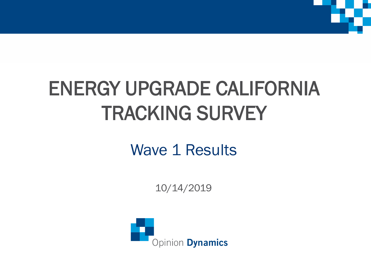# ENERGY UPGRADE CALIFORNIA TRACKING SURVEY

# Wave 1 Results

10/14/2019

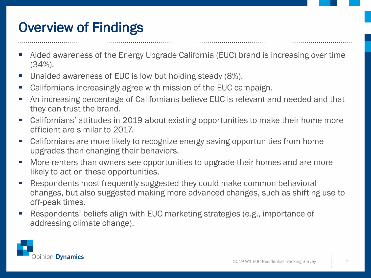# Overview of Findings

- Aided awareness of the Energy Upgrade California (EUC) brand is increasing over time (34%).
- Unaided awareness of EUC is low but holding steady (8%).
- Californians increasingly agree with mission of the EUC campaign.
- An increasing percentage of Californians believe EUC is relevant and needed and that they can trust the brand.
- Californians' attitudes in 2019 about existing opportunities to make their home more efficient are similar to 2017.
- Californians are more likely to recognize energy saving opportunities from home upgrades than changing their behaviors.
- More renters than owners see opportunities to upgrade their homes and are more likely to act on these opportunities.
- Respondents most frequently suggested they could make common behavioral changes, but also suggested making more advanced changes, such as shifting use to off-peak times.
- Respondents' beliefs align with EUC marketing strategies (e.g., importance of addressing climate change).

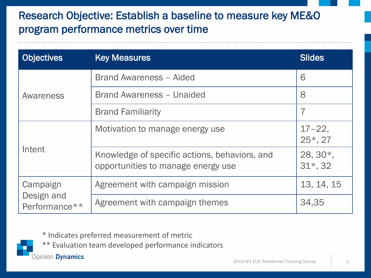## Research Objective: Establish a baseline to measure key ME&O program performance metrics over time

| <b>Objectives</b>                       | <b>Key Measures</b>                                                                 | <b>Slides</b>              |
|-----------------------------------------|-------------------------------------------------------------------------------------|----------------------------|
| <b>Awareness</b>                        | <b>Brand Awareness - Aided</b>                                                      | 6                          |
|                                         | Brand Awareness - Unaided                                                           | 8                          |
|                                         | <b>Brand Familiarity</b>                                                            | $\overline{7}$             |
| Intent                                  | Motivation to manage energy use                                                     | $17 - 22$ ,<br>$25^*$ , 27 |
|                                         | Knowledge of specific actions, behaviors, and<br>opportunities to manage energy use | $28, 30*$ ,<br>$31*$ , 32  |
| Campaign<br>Design and<br>Performance** | Agreement with campaign mission                                                     | 13, 14, 15                 |
|                                         | Agreement with campaign themes                                                      | 34,35                      |

\* Indicates preferred measurement of metric

\*\* Evaluation team developed performance indicators

Opinion **Dynamics**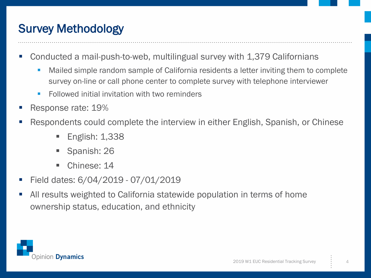## Survey Methodology

- Conducted a mail-push-to-web, multilingual survey with 1,379 Californians
	- Mailed simple random sample of California residents a letter inviting them to complete survey on-line or call phone center to complete survey with telephone interviewer
	- **Followed initial invitation with two reminders**
- Response rate: 19%
- Respondents could complete the interview in either English, Spanish, or Chinese
	- **English: 1,338**
	- Spanish: 26
	- Chinese: 14
- Field dates: 6/04/2019 07/01/2019
- All results weighted to California statewide population in terms of home ownership status, education, and ethnicity

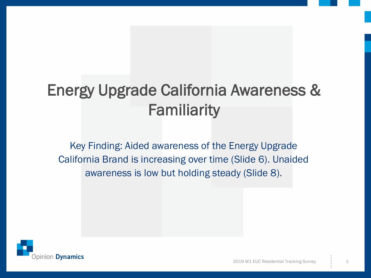# Energy Upgrade California Awareness & Familiarity

Key Finding: Aided awareness of the Energy Upgrade California Brand is increasing over time (Slide 6). Unaided awareness is low but holding steady (Slide 8).



2019 W1 EUC Residential Tracking Survey  $\frac{1}{5}$  5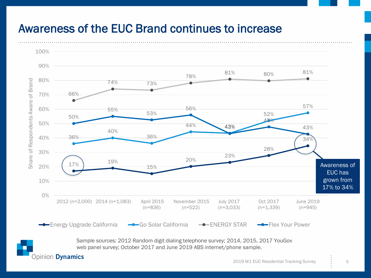### Awareness of the EUC Brand continues to increase

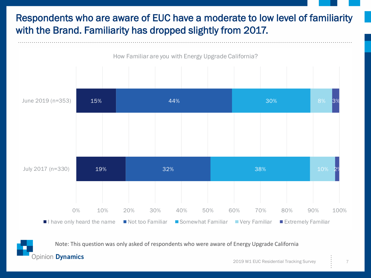### Respondents who are aware of EUC have a moderate to low level of familiarity with the Brand. Familiarity has dropped slightly from 2017.



Note: This question was only asked of respondents who were aware of Energy Upgrade California

Opinion **Dynamics**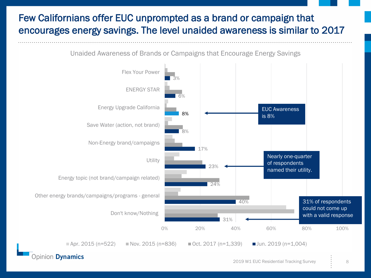### Few Californians offer EUC unprompted as a brand or campaign that encourages energy savings. The level unaided awareness is similar to 2017

Unaided Awareness of Brands or Campaigns that Encourage Energy Savings

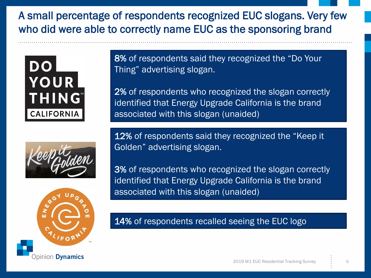### A small percentage of respondents recognized EUC slogans. Very few who did were able to correctly name EUC as the sponsoring brand



8% of respondents said they recognized the "Do Your Thing" advertising slogan.

2% of respondents who recognized the slogan correctly identified that Energy Upgrade California is the brand associated with this slogan (unaided)



12% of respondents said they recognized the "Keep it Golden" advertising slogan.

3% of respondents who recognized the slogan correctly identified that Energy Upgrade California is the brand associated with this slogan (unaided)



14% of respondents recalled seeing the EUC logo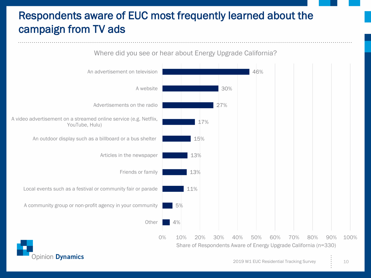### Respondents aware of EUC most frequently learned about the campaign from TV ads

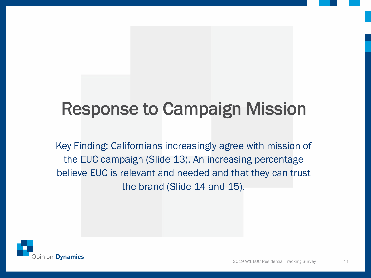# Response to Campaign Mission

Key Finding: Californians increasingly agree with mission of the EUC campaign (Slide 13). An increasing percentage believe EUC is relevant and needed and that they can trust the brand (Slide 14 and 15).

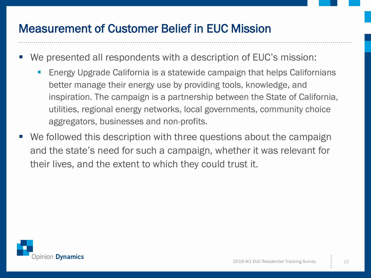## Measurement of Customer Belief in EUC Mission

- We presented all respondents with a description of EUC's mission:
	- Energy Upgrade California is a statewide campaign that helps Californians better manage their energy use by providing tools, knowledge, and inspiration. The campaign is a partnership between the State of California, utilities, regional energy networks, local governments, community choice aggregators, businesses and non-profits.
- We followed this description with three questions about the campaign and the state's need for such a campaign, whether it was relevant for their lives, and the extent to which they could trust it.

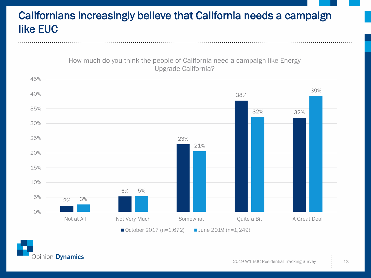## Californians increasingly believe that California needs a campaign like EUC

How much do you think the people of California need a campaign like Energy Upgrade California?



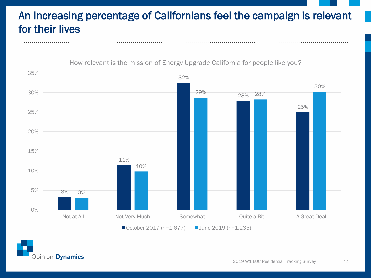### An increasing percentage of Californians feel the campaign is relevant for their lives



How relevant is the mission of Energy Upgrade California for people like you?

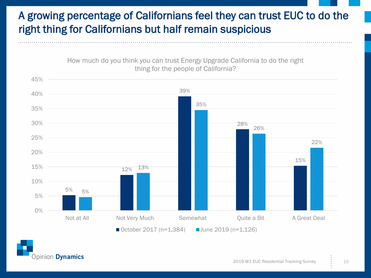## A growing percentage of Californians feel they can trust EUC to do the right thing for Californians but half remain suspicious

How much do you think you can trust Energy Upgrade California to do the right thing for the people of California?



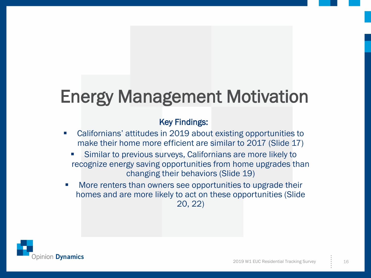# Energy Management Motivation

### Key Findings:

- Californians' attitudes in 2019 about existing opportunities to make their home more efficient are similar to 2017 (Slide 17)
	- Similar to previous surveys, Californians are more likely to recognize energy saving opportunities from home upgrades than changing their behaviors (Slide 19)
- More renters than owners see opportunities to upgrade their homes and are more likely to act on these opportunities (Slide 20, 22)

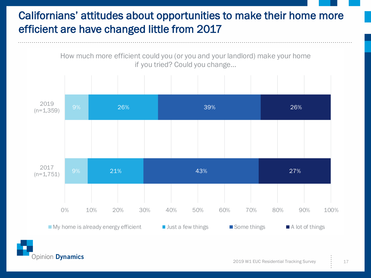## Californians' attitudes about opportunities to make their home more efficient are have changed little from 2017



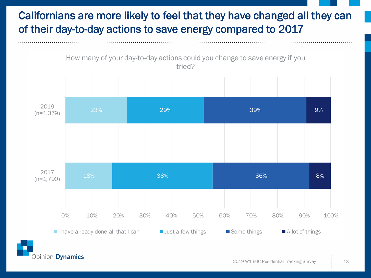### Californians are more likely to feel that they have changed all they can of their day-to-day actions to save energy compared to 2017



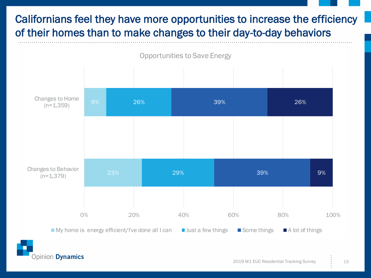### Californians feel they have more opportunities to increase the efficiency of their homes than to make changes to their day-to-day behaviors



Opinion **Dynamics**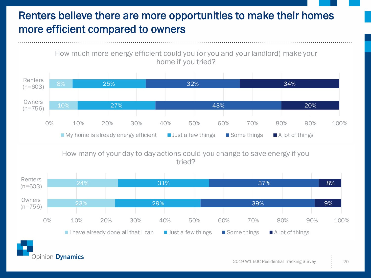### Renters believe there are more opportunities to make their homes more efficient compared to owners

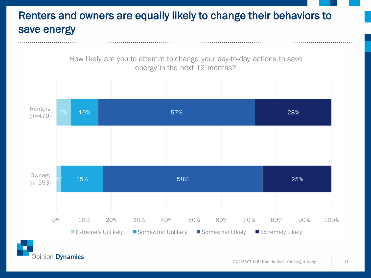## Renters and owners are equally likely to change their behaviors to save energy



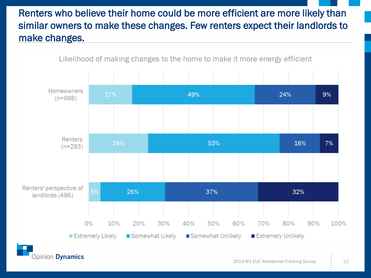### Renters who believe their home could be more efficient are more likely than similar owners to make these changes. Few renters expect their landlords to make changes.



2019 W1 EUC Residential Tracking Survey 22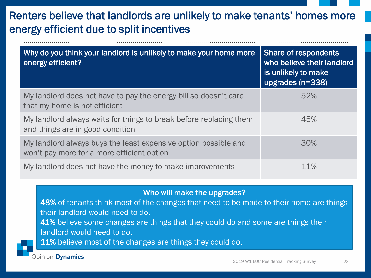### Renters believe that landlords are unlikely to make tenants' homes more energy efficient due to split incentives

| Why do you think your landlord is unlikely to make your home more<br>energy efficient?                        | <b>Share of respondents</b><br>who believe their landlord<br>is unlikely to make<br>upgrades (n=338) |
|---------------------------------------------------------------------------------------------------------------|------------------------------------------------------------------------------------------------------|
| My landlord does not have to pay the energy bill so doesn't care<br>that my home is not efficient             | 52%                                                                                                  |
| My landlord always waits for things to break before replacing them<br>and things are in good condition        | 45%                                                                                                  |
| My landlord always buys the least expensive option possible and<br>won't pay more for a more efficient option | 30%                                                                                                  |
| My landlord does not have the money to make improvements                                                      | 11%                                                                                                  |

#### Who will make the upgrades?

48% of tenants think most of the changes that need to be made to their home are things their landlord would need to do.

41% believe some changes are things that they could do and some are things their landlord would need to do.

11% believe most of the changes are things they could do.

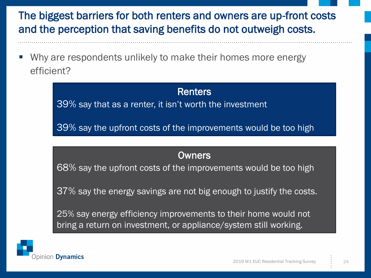## The biggest barriers for both renters and owners are up-front costs and the perception that saving benefits do not outweigh costs.

Why are respondents unlikely to make their homes more energy efficient?

### **Renters**

39% say that as a renter, it isn't worth the investment

39% say the upfront costs of the improvements would be too high

### **Owners**

68% say the upfront costs of the improvements would be too high

37% say the energy savings are not big enough to justify the costs.

25% say energy efficiency improvements to their home would not bring a return on investment, or appliance/system still working.

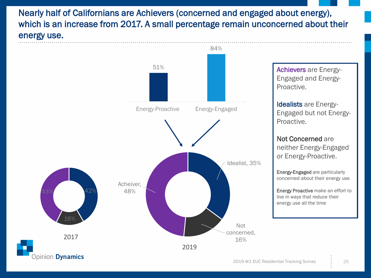### Nearly half of Californians are Achievers (concerned and engaged about energy), which is an increase from 2017. A small percentage remain unconcerned about their energy use.



Achievers are Energy-Engaged and Energy-Proactive.

Idealists are Energy-Engaged but not Energy-Proactive.

Not Concerned are neither Energy-Engaged or Energy-Proactive.

Energy-Engaged are particularly concerned about their energy use

Energy Proactive make an effort to live in ways that reduce their energy use all the time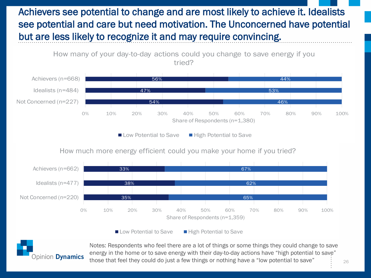### Achievers see potential to change and are most likely to achieve it. Idealists see potential and care but need motivation. The Unconcerned have potential but are less likely to recognize it and may require convincing.



■ Low Potential to Save ■ High Potential to Save

#### How much more energy efficient could you make your home if you tried?



■ Low Potential to Save ■ High Potential to Save



Notes: Respondents who feel there are a lot of things or some things they could change to save energy in the home or to save energy with their day-to-day actions have "high potential to save"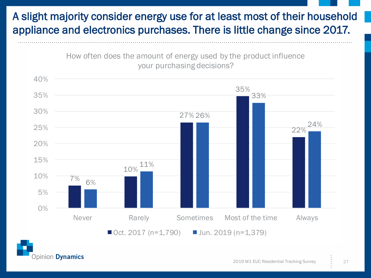### A slight majority consider energy use for at least most of their household appliance and electronics purchases. There is little change since 2017.

How often does the amount of energy used by the product influence your purchasing decisions?



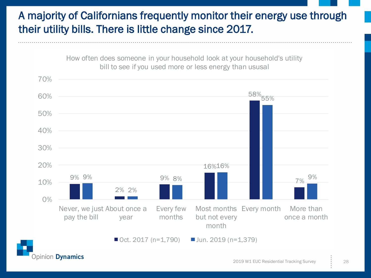### A majority of Californians frequently monitor their energy use through their utility bills. There is little change since 2017.

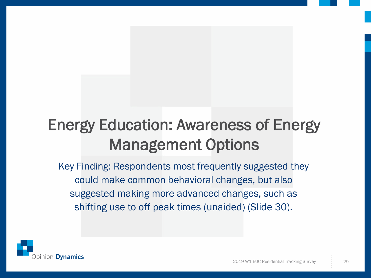# Energy Education: Awareness of Energy Management Options

Key Finding: Respondents most frequently suggested they could make common behavioral changes, but also suggested making more advanced changes, such as shifting use to off peak times (unaided) (Slide 30).

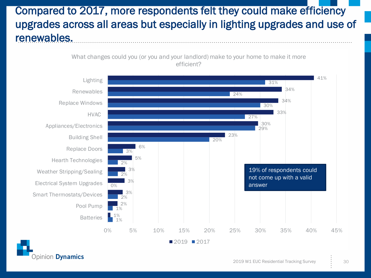### Compared to 2017, more respondents felt they could make efficiency upgrades across all areas but especially in lighting upgrades and use of renewables.

What changes could you (or you and your landlord) make to your home to make it more efficient?

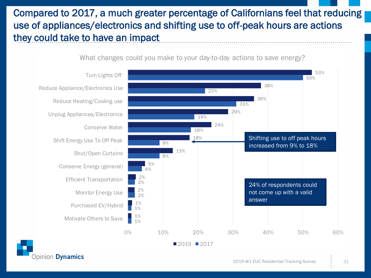### Compared to 2017, a much greater percentage of Californians feel that reducing use of appliances/electronics and shifting use to off-peak hours are actions they could take to have an impact

What changes could you make to your day-to-day actions to save energy?



Opinion **Dynamics**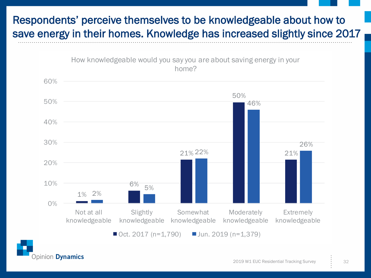## Respondents' perceive themselves to be knowledgeable about how to save energy in their homes. Knowledge has increased slightly since 2017



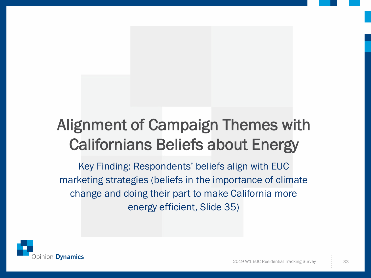# Alignment of Campaign Themes with Californians Beliefs about Energy

Key Finding: Respondents' beliefs align with EUC marketing strategies (beliefs in the importance of climate change and doing their part to make California more energy efficient, Slide 35)

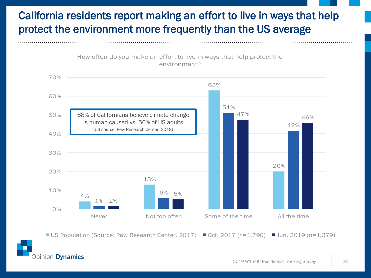## California residents report making an effort to live in ways that help protect the environment more frequently than the US average



 $\blacksquare$  US Population (Source: Pew Research Center, 2017)  $\blacksquare$  Oct. 2017 (n=1,790)  $\blacksquare$  Jun. 2019 (n=1,379)

Opinion **Dynamics**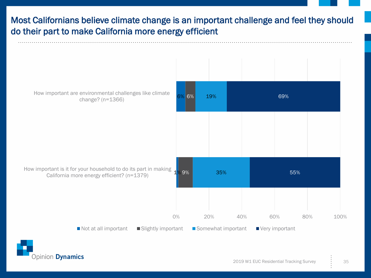### Most Californians believe climate change is an important challenge and feel they should do their part to make California more energy efficient



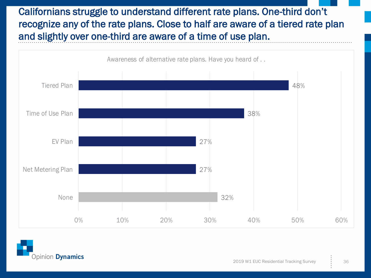Californians struggle to understand different rate plans. One-third don't recognize any of the rate plans. Close to half are aware of a tiered rate plan and slightly over one-third are aware of a time of use plan.



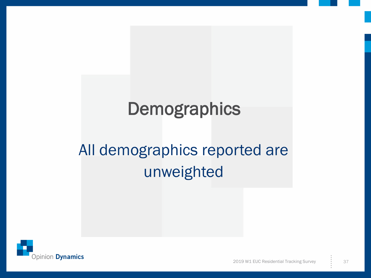# **Demographics**

# All demographics reported are unweighted



2019 W1 EUC Residential Tracking Survey 37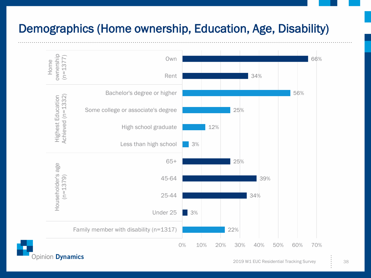## Demographics (Home ownership, Education, Age, Disability)



Opinion **Dynamics**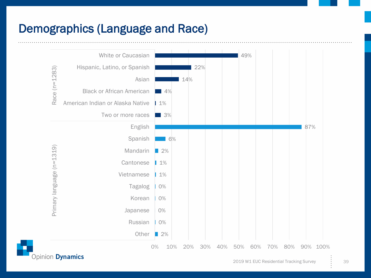## Demographics (Language and Race)



Opinion **Dynamics**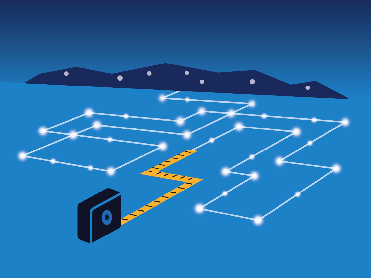